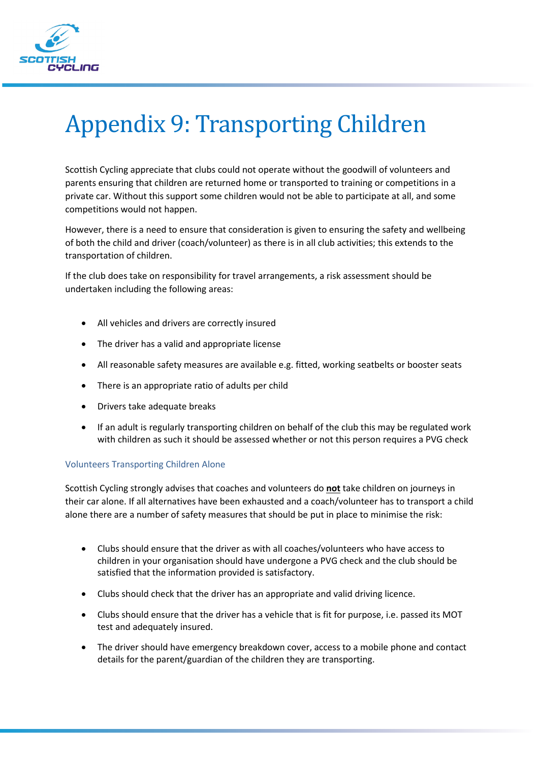

## Appendix 9: Transporting Children

Scottish Cycling appreciate that clubs could not operate without the goodwill of volunteers and parents ensuring that children are returned home or transported to training or competitions in a private car. Without this support some children would not be able to participate at all, and some competitions would not happen.

However, there is a need to ensure that consideration is given to ensuring the safety and wellbeing of both the child and driver (coach/volunteer) as there is in all club activities; this extends to the transportation of children.

If the club does take on responsibility for travel arrangements, a risk assessment should be undertaken including the following areas:

- All vehicles and drivers are correctly insured
- The driver has a valid and appropriate license
- All reasonable safety measures are available e.g. fitted, working seatbelts or booster seats
- There is an appropriate ratio of adults per child
- Drivers take adequate breaks
- If an adult is regularly transporting children on behalf of the club this may be regulated work with children as such it should be assessed whether or not this person requires a PVG check

## Volunteers Transporting Children Alone

Scottish Cycling strongly advises that coaches and volunteers do **not** take children on journeys in their car alone. If all alternatives have been exhausted and a coach/volunteer has to transport a child alone there are a number of safety measures that should be put in place to minimise the risk:

- Clubs should ensure that the driver as with all coaches/volunteers who have access to children in your organisation should have undergone a PVG check and the club should be satisfied that the information provided is satisfactory.
- Clubs should check that the driver has an appropriate and valid driving licence.
- Clubs should ensure that the driver has a vehicle that is fit for purpose, i.e. passed its MOT test and adequately insured.
- The driver should have emergency breakdown cover, access to a mobile phone and contact details for the parent/guardian of the children they are transporting.